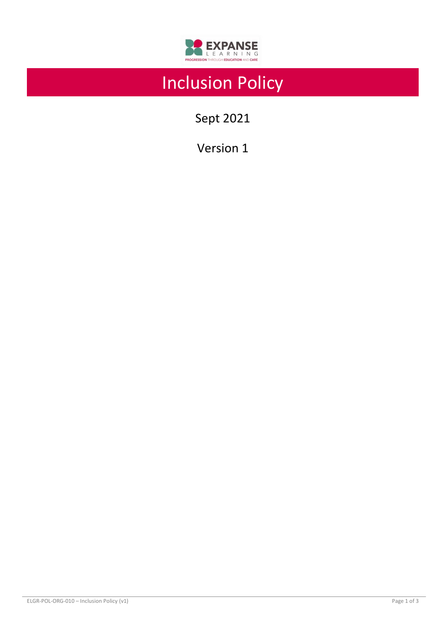

# Inclusion Policy

Sept 2021

Version 1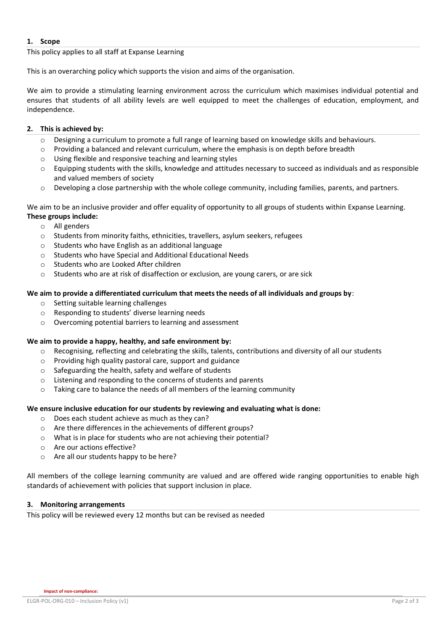## **1. Scope**

This policy applies to all staff at Expanse Learning

This is an overarching policy which supports the vision and aims of the organisation.

We aim to provide a stimulating learning environment across the curriculum which maximises individual potential and ensures that students of all ability levels are well equipped to meet the challenges of education, employment, and independence.

## **2. This is achieved by:**

- o Designing a curriculum to promote a full range of learning based on knowledge skills and behaviours.
- o Providing a balanced and relevant curriculum, where the emphasis is on depth before breadth
- o Using flexible and responsive teaching and learning styles
- $\circ$  Equipping students with the skills, knowledge and attitudes necessary to succeed as individuals and as responsible and valued members of society
- o Developing a close partnership with the whole college community, including families, parents, and partners.

We aim to be an inclusive provider and offer equality of opportunity to all groups of students within Expanse Learning. **These groups include:** 

- o All genders
- o Students from minority faiths, ethnicities, travellers, asylum seekers, refugees
- o Students who have English as an additional language
- o Students who have Special and Additional Educational Needs
- o Students who are Looked After children
- o Students who are at risk of disaffection or exclusion, are young carers, or are sick

#### **We aim to provide a differentiated curriculum that meets the needs of all individuals and groups by**:

- o Setting suitable learning challenges
- o Responding to students' diverse learning needs
- o Overcoming potential barriers to learning and assessment

#### **We aim to provide a happy, healthy, and safe environment by:**

- $\circ$  Recognising, reflecting and celebrating the skills, talents, contributions and diversity of all our students
- o Providing high quality pastoral care, support and guidance
- o Safeguarding the health, safety and welfare of students
- o Listening and responding to the concerns of students and parents
- o Taking care to balance the needs of all members of the learning community

## **We ensure inclusive education for our students by reviewing and evaluating what is done:**

- o Does each student achieve as much as they can?
- o Are there differences in the achievements of different groups?
- o What is in place for students who are not achieving their potential?
- o Are our actions effective?
- o Are all our students happy to be here?

All members of the college learning community are valued and are offered wide ranging opportunities to enable high standards of achievement with policies that support inclusion in place.

#### **3. Monitoring arrangements**

This policy will be reviewed every 12 months but can be revised as needed